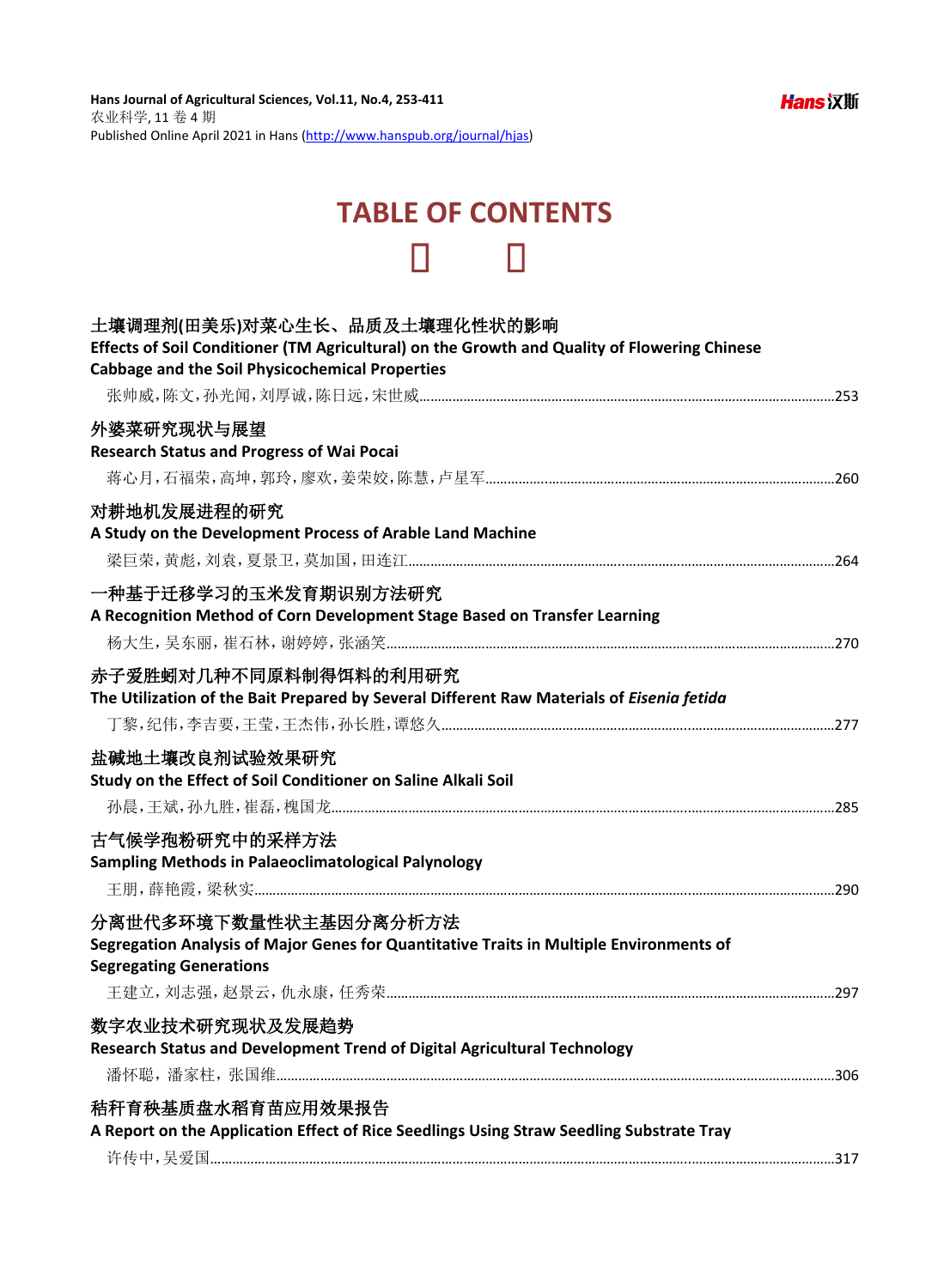## **TABLE OF CONTENTS**

| 土壤调理剂(田美乐)对菜心生长、品质及土壤理化性状的影响<br>Effects of Soil Conditioner (TM Agricultural) on the Growth and Quality of Flowering Chinese<br><b>Cabbage and the Soil Physicochemical Properties</b> |
|----------------------------------------------------------------------------------------------------------------------------------------------------------------------------------------|
|                                                                                                                                                                                        |
| 外婆菜研究现状与展望<br><b>Research Status and Progress of Wai Pocai</b>                                                                                                                         |
|                                                                                                                                                                                        |
| 对耕地机发展进程的研究<br>A Study on the Development Process of Arable Land Machine                                                                                                               |
|                                                                                                                                                                                        |
| 一种基于迁移学习的玉米发育期识别方法研究<br>A Recognition Method of Corn Development Stage Based on Transfer Learning                                                                                      |
| 赤子爱胜蚓对几种不同原料制得饵料的利用研究<br>The Utilization of the Bait Prepared by Several Different Raw Materials of Eisenia fetida                                                                     |
| 盐碱地土壤改良剂试验效果研究<br>Study on the Effect of Soil Conditioner on Saline Alkali Soil                                                                                                        |
| 古气候学孢粉研究中的采样方法<br><b>Sampling Methods in Palaeoclimatological Palynology</b>                                                                                                           |
| 分离世代多环境下数量性状主基因分离分析方法<br>Segregation Analysis of Major Genes for Quantitative Traits in Multiple Environments of<br><b>Segregating Generations</b>                                     |
| 数字农业技术研究现状及发展趋势<br>Research Status and Development Trend of Digital Agricultural Technology                                                                                            |
| 秸秆育秧基质盘水稻育苗应用效果报告<br>A Report on the Application Effect of Rice Seedlings Using Straw Seedling Substrate Tray                                                                          |